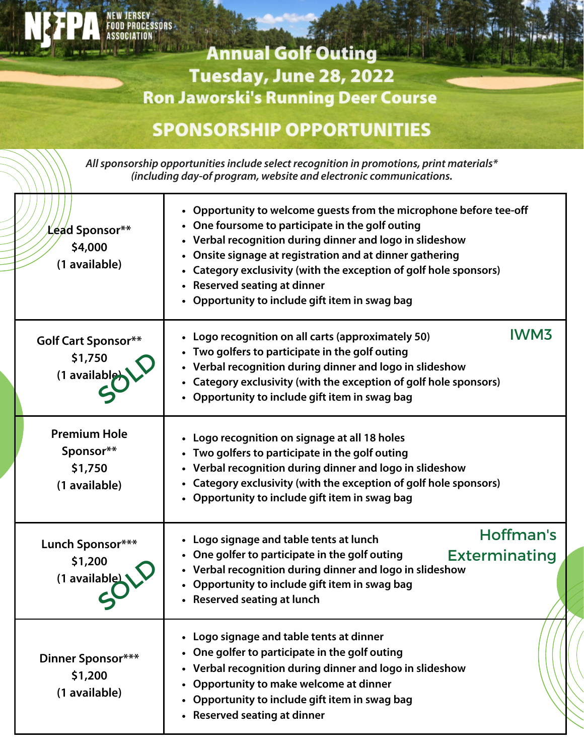## **ASSOCIATION Annual Golf Outing** Tuesday, June 28, 2022 **Ron Jaworski's Running Deer Course**

**JERSEY FOOD PROCESSORS** 

## **SPONSORSHIP OPPORTUNITIES**

**Allsponsorship opportunitiesinclude select recognition in promotions, print materials\* (including day-of program, website and electronic communications.**

| Lead Sponsor**<br>\$4,000<br>(1 available)                   | • Opportunity to welcome guests from the microphone before tee-off<br>• One foursome to participate in the golf outing<br>• Verbal recognition during dinner and logo in slideshow<br>Onsite signage at registration and at dinner gathering<br>• Category exclusivity (with the exception of golf hole sponsors)<br>• Reserved seating at dinner<br>• Opportunity to include gift item in swag bag |
|--------------------------------------------------------------|-----------------------------------------------------------------------------------------------------------------------------------------------------------------------------------------------------------------------------------------------------------------------------------------------------------------------------------------------------------------------------------------------------|
| <b>Golf Cart Sponsor**</b><br>\$1,750<br>(1 available)       | <b>IWM3</b><br>• Logo recognition on all carts (approximately 50)<br>• Two golfers to participate in the golf outing<br>• Verbal recognition during dinner and logo in slideshow<br>• Category exclusivity (with the exception of golf hole sponsors)<br>• Opportunity to include gift item in swag bag                                                                                             |
| <b>Premium Hole</b><br>Sponsor**<br>\$1,750<br>(1 available) | • Logo recognition on signage at all 18 holes<br>Two golfers to participate in the golf outing<br>• Verbal recognition during dinner and logo in slideshow<br>• Category exclusivity (with the exception of golf hole sponsors)<br>• Opportunity to include gift item in swag bag                                                                                                                   |
| Lunch Sponsor***<br>\$1,200<br>(1 available)                 | Hoffman's<br>• Logo signage and table tents at lunch<br>• One golfer to participate in the golf outing<br><b>Exterminating</b><br>• Verbal recognition during dinner and logo in slideshow<br>• Opportunity to include gift item in swag bag<br>• Reserved seating at lunch                                                                                                                         |
| Dinner Sponsor***<br>\$1,200<br>(1 available)                | • Logo signage and table tents at dinner<br>One golfer to participate in the golf outing<br>• Verbal recognition during dinner and logo in slideshow<br>Opportunity to make welcome at dinner<br>Opportunity to include gift item in swag bag<br>• Reserved seating at dinner                                                                                                                       |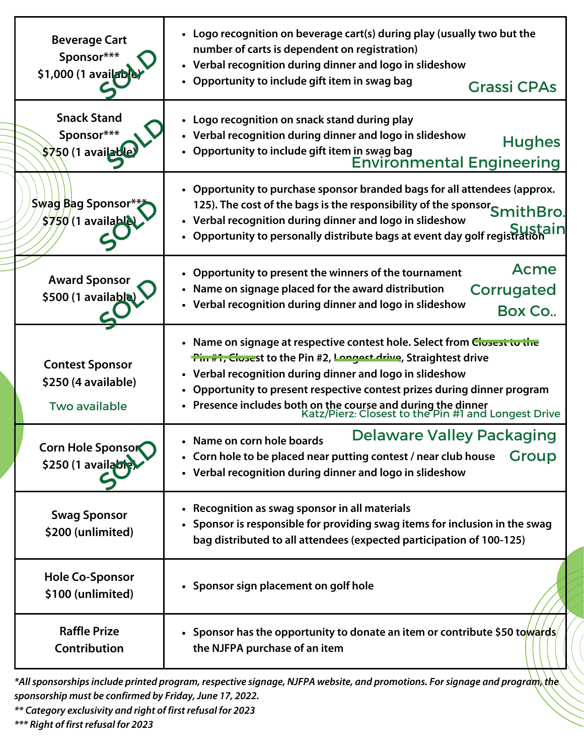| <b>Beverage Cart</b><br>Sponsor***<br>\$1,000 (1 availab              | • Logo recognition on beverage cart(s) during play (usually two but the<br>number of carts is dependent on registration)<br>• Verbal recognition during dinner and logo in slideshow<br>• Opportunity to include gift item in swag bag<br><b>Grassi CPAs</b>                                                                                                                                                      |
|-----------------------------------------------------------------------|-------------------------------------------------------------------------------------------------------------------------------------------------------------------------------------------------------------------------------------------------------------------------------------------------------------------------------------------------------------------------------------------------------------------|
| <b>Snack Stand</b><br>Sponsor***<br>\$750 (1 availab                  | • Logo recognition on snack stand during play<br>• Verbal recognition during dinner and logo in slideshow<br><b>Hughes</b><br>• Opportunity to include gift item in swag bag<br><b>Environmental Engineering</b>                                                                                                                                                                                                  |
| Swag Bag Sponsor*<br>$$750$ (1 available                              | • Opportunity to purchase sponsor branded bags for all attendees (approx.<br>125). The cost of the bags is the responsibility of the sponsor SmithBro.<br>• Verbal recognition during dinner and logo in slideshow<br><u>Sustain</u><br>Opportunity to personally distribute bags at event day golf registration                                                                                                  |
| <b>Award Sponsor</b><br>\$500 (1 available)                           | Acme<br>• Opportunity to present the winners of the tournament<br>• Name on signage placed for the award distribution<br>Corrugated<br>• Verbal recognition during dinner and logo in slideshow<br>Box Co                                                                                                                                                                                                         |
| <b>Contest Sponsor</b><br>\$250 (4 available)<br><b>Two available</b> | • Name on signage at respective contest hole. Select from Closest to the<br><b>Tin #1, Closest to the Pin #2, Longest drive, Straightest drive</b><br>• Verbal recognition during dinner and logo in slideshow<br>• Opportunity to present respective contest prizes during dinner program<br>• Presence includes both on the course and during the dinner<br>Katz/Pierz: Closest to the Pin #1 and Longest Drive |
| <b>Corn Hole Sponsor</b><br>\$250 (1 available                        | Delaware Valley Packaging<br>• Name on corn hole boards<br><b>Group</b><br>• Corn hole to be placed near putting contest / near club house<br>• Verbal recognition during dinner and logo in slideshow                                                                                                                                                                                                            |
| <b>Swag Sponsor</b><br>\$200 (unlimited)                              | • Recognition as swag sponsor in all materials<br>• Sponsor is responsible for providing swag items for inclusion in the swag<br>bag distributed to all attendees (expected participation of 100-125)                                                                                                                                                                                                             |
| <b>Hole Co-Sponsor</b><br>\$100 (unlimited)                           | • Sponsor sign placement on golf hole                                                                                                                                                                                                                                                                                                                                                                             |
| <b>Raffle Prize</b><br>Contribution                                   | • Sponsor has the opportunity to donate an item or contribute \$50 towards/<br>the NJFPA purchase of an item                                                                                                                                                                                                                                                                                                      |

**\*Allsponsorshipsinclude printed program, respective signage, NJFPA website, and promotions. Forsignage and program, the sponsorship must be confirmed by Friday,June 17, 2022.**

**\*\* Category exclusivity and right of first refusal for 2023**

**\*\*\* Right of first refusal for 2023**

 $11111$